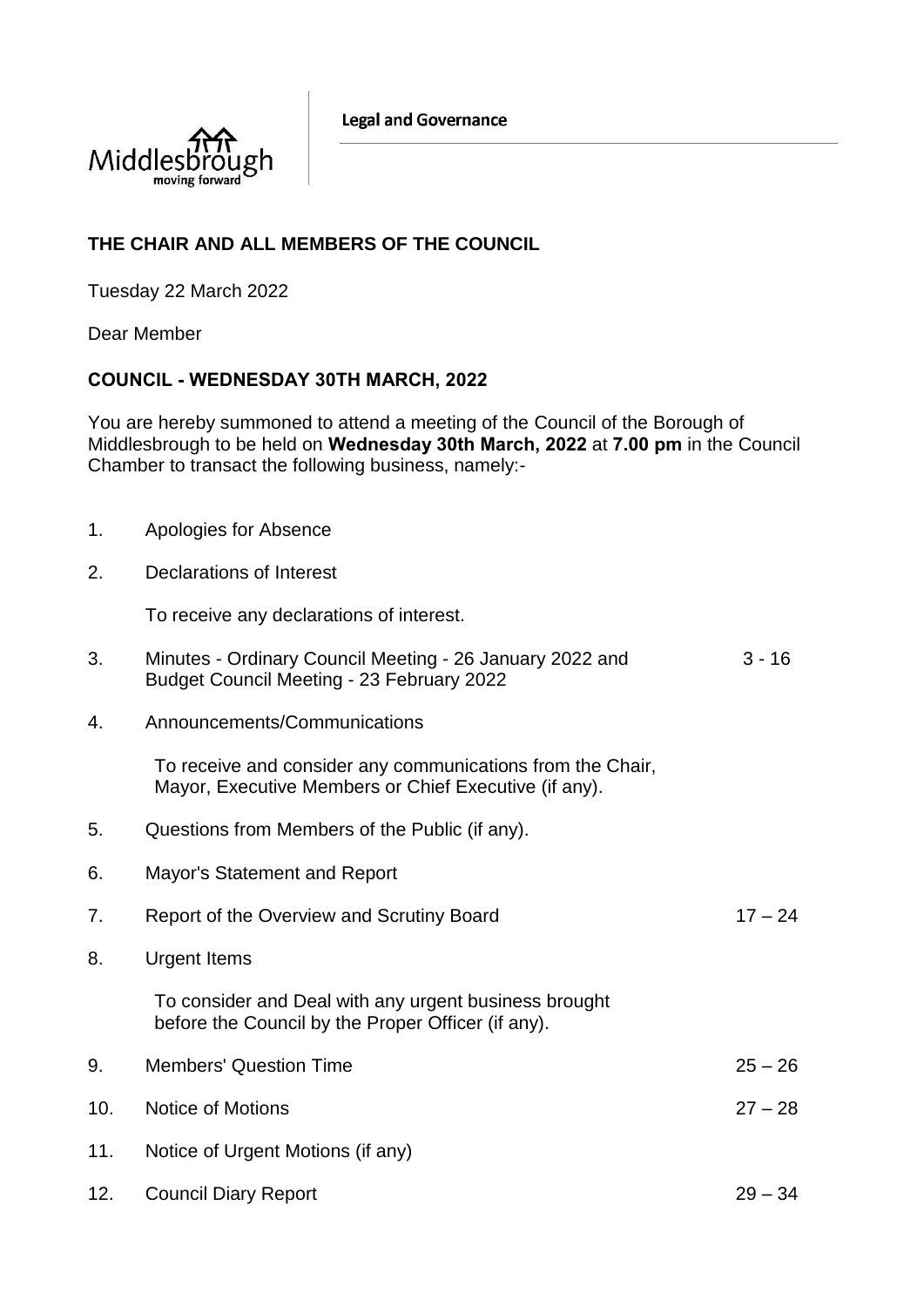**Legal and Governance** 



## **THE CHAIR AND ALL MEMBERS OF THE COUNCIL**

Tuesday 22 March 2022

Dear Member

## **COUNCIL - WEDNESDAY 30TH MARCH, 2022**

You are hereby summoned to attend a meeting of the Council of the Borough of Middlesbrough to be held on **Wednesday 30th March, 2022** at **7.00 pm** in the Council Chamber to transact the following business, namely:-

- 1. Apologies for Absence
- 2. Declarations of Interest

To receive any declarations of interest.

| Minutes - Ordinary Council Meeting - 26 January 2022 and | 3 - 16 |
|----------------------------------------------------------|--------|
| Budget Council Meeting - 23 February 2022                |        |

4. Announcements/Communications

To receive and consider any communications from the Chair, Mayor, Executive Members or Chief Executive (if any).

- 5. Questions from Members of the Public (if any).
- 6. Mayor's Statement and Report
- 7. Report of the Overview and Scrutiny Board 17 24
- 8. Urgent Items

To consider and Deal with any urgent business brought before the Council by the Proper Officer (if any).

- 9. Members' Question Time 25 26 10. Notice of Motions 27 – 28
- 11. Notice of Urgent Motions (if any)
- 12. Council Diary Report 29 34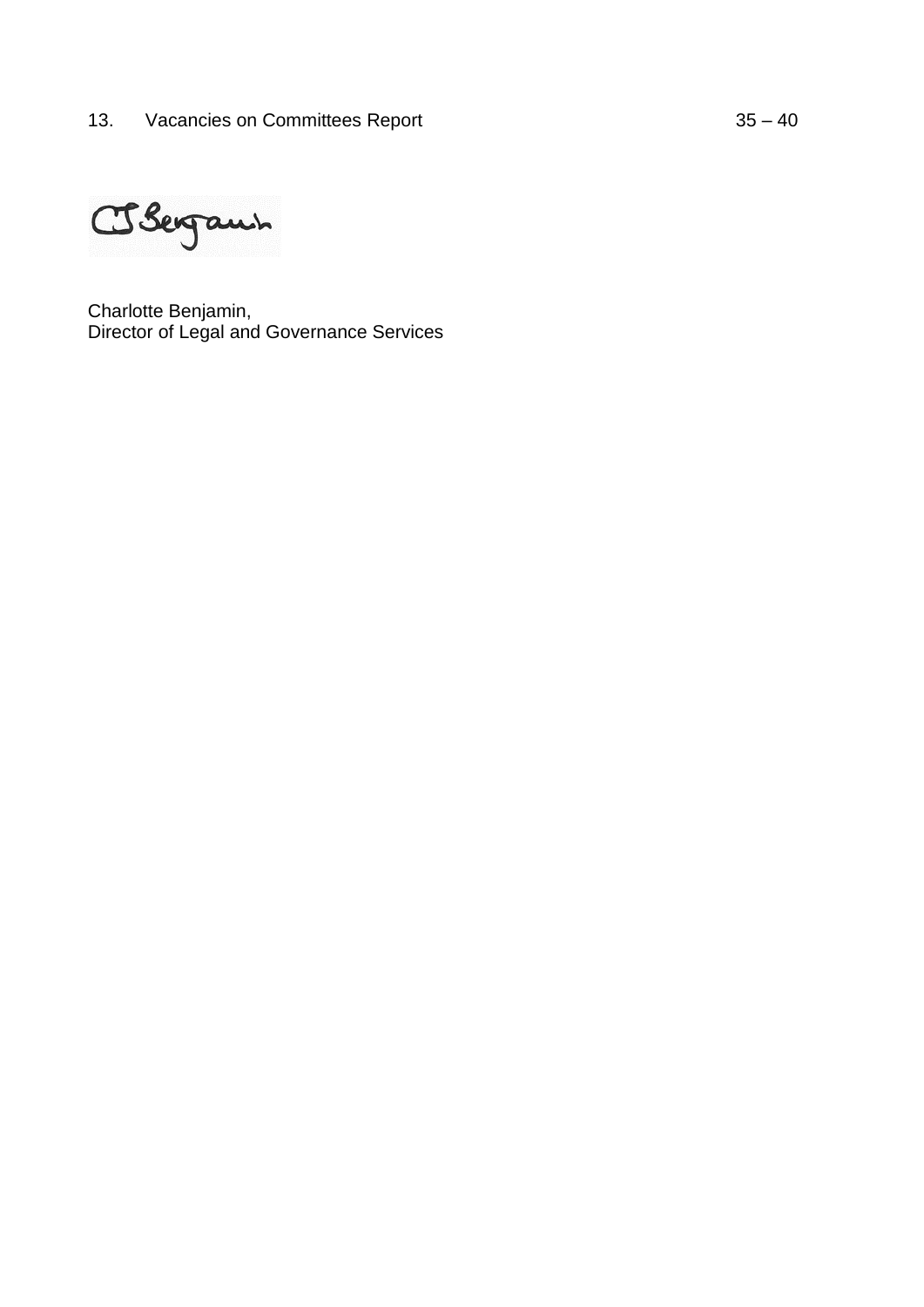Obergann

Charlotte Benjamin, Director of Legal and Governance Services